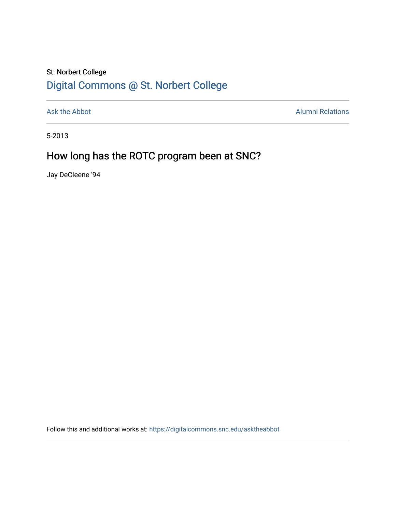## St. Norbert College [Digital Commons @ St. Norbert College](https://digitalcommons.snc.edu/)

[Ask the Abbot](https://digitalcommons.snc.edu/asktheabbot) **Alumni Relations** Alumni Relations

5-2013

## How long has the ROTC program been at SNC?

Jay DeCleene '94

Follow this and additional works at: [https://digitalcommons.snc.edu/asktheabbot](https://digitalcommons.snc.edu/asktheabbot?utm_source=digitalcommons.snc.edu%2Fasktheabbot%2F74&utm_medium=PDF&utm_campaign=PDFCoverPages)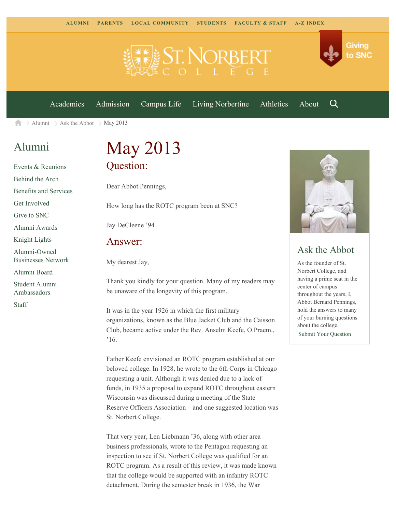

[Academics](https://www.snc.edu/academics) [Admission](https://www.snc.edu/admission) [Campus Life](https://www.snc.edu/campuslife) [Living Norbertine](https://www.snc.edu/livingnorbertine) [Athletics](https://www.snc.edu/athletics) [About](https://www.snc.edu/about)

Q

Giving

to SNC

[Alumni](https://www.snc.edu/alumni/)  $\geq$  [Ask the Abbot](https://www.snc.edu/alumni/abbot/)  $\geq$  May 2013 合

## [Alumni](https://www.snc.edu/alumni/index.html)

[Events & Reunions](https://www.snc.edu/alumni/event/index.html) [Behind the Arch](https://www.snc.edu/alumni/event/behindthearch/) [Benefits and Services](https://www.snc.edu/alumni/benefits.html) [Get Involved](https://www.snc.edu/alumni/getinvolved.html) [Give to SNC](http://giving.snc.edu/) [Alumni Awards](https://www.snc.edu/alumni/awards/index.html) [Knight Lights](https://www.snc.edu/alumni/knightlights/index.html) [Alumni-Owned](https://www.snc.edu/alumni/directory/index.html) [Businesses Network](https://www.snc.edu/alumni/directory/index.html) [Alumni Board](https://www.snc.edu/alumni/alumniboard.html) [Student Alumni](https://www.snc.edu/alumni/saa.html) [Ambassadors](https://www.snc.edu/alumni/saa.html) [Staff](https://www.snc.edu/alumni/contactus.html)

# May 2013 Question:

Dear Abbot Pennings,

How long has the ROTC program been at SNC?

Jay DeCleene '94

#### Answer:

My dearest Jay,

Thank you kindly for your question. Many of my readers may be unaware of the longevity of this program.

It was in the year 1926 in which the first military organizations, known as the Blue Jacket Club and the Caisson Club, became active under the Rev. Anselm Keefe, O.Praem., '16.

Father Keefe envisioned an ROTC program established at our beloved college. In 1928, he wrote to the 6th Corps in Chicago requesting a unit. Although it was denied due to a lack of funds, in 1935 a proposal to expand ROTC throughout eastern Wisconsin was discussed during a meeting of the State Reserve Officers Association – and one suggested location was St. Norbert College.

That very year, Len Liebmann '36, along with other area business professionals, wrote to the Pentagon requesting an inspection to see if St. Norbert College was qualified for an ROTC program. As a result of this review, it was made known that the college would be supported with an infantry ROTC detachment. During the semester break in 1936, the War



### Ask the Abbot

As the founder of St. Norbert College, and having a prime seat in the center of campus throughout the years, I, Abbot Bernard Pennings, hold the answers to many of your burning questions about the college. [Submit Your Question](https://www.snc.edu/alumni/abbot/index.html)